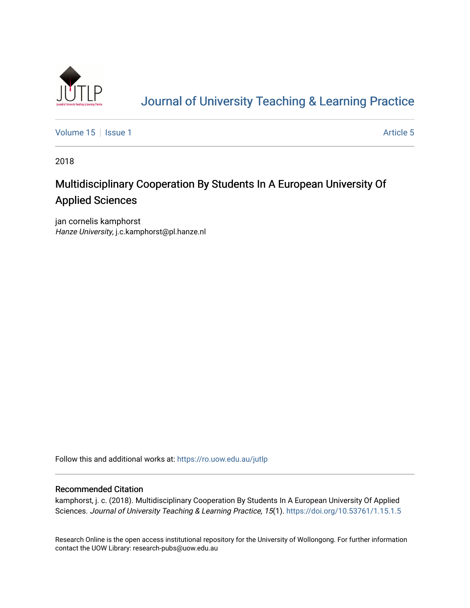

# [Journal of University Teaching & Learning Practice](https://ro.uow.edu.au/jutlp)

[Volume 15](https://ro.uow.edu.au/jutlp/vol15) | [Issue 1](https://ro.uow.edu.au/jutlp/vol15/iss1) Article 5

2018

# Multidisciplinary Cooperation By Students In A European University Of Applied Sciences

jan cornelis kamphorst Hanze University, j.c.kamphorst@pl.hanze.nl

Follow this and additional works at: [https://ro.uow.edu.au/jutlp](https://ro.uow.edu.au/jutlp?utm_source=ro.uow.edu.au%2Fjutlp%2Fvol15%2Fiss1%2F5&utm_medium=PDF&utm_campaign=PDFCoverPages) 

## Recommended Citation

kamphorst, j. c. (2018). Multidisciplinary Cooperation By Students In A European University Of Applied Sciences. Journal of University Teaching & Learning Practice, 15(1).<https://doi.org/10.53761/1.15.1.5>

Research Online is the open access institutional repository for the University of Wollongong. For further information contact the UOW Library: research-pubs@uow.edu.au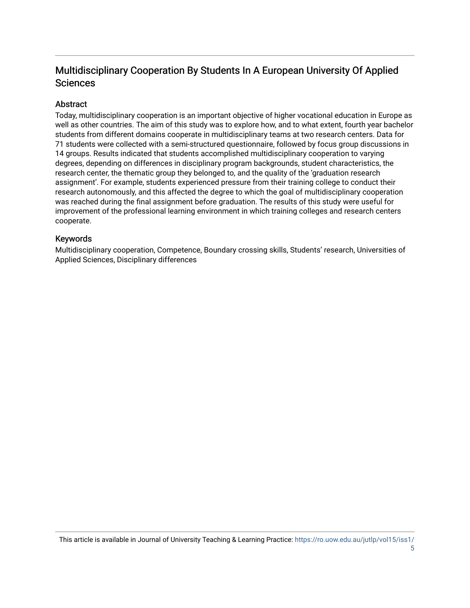# Multidisciplinary Cooperation By Students In A European University Of Applied **Sciences**

## **Abstract**

Today, multidisciplinary cooperation is an important objective of higher vocational education in Europe as well as other countries. The aim of this study was to explore how, and to what extent, fourth year bachelor students from different domains cooperate in multidisciplinary teams at two research centers. Data for 71 students were collected with a semi-structured questionnaire, followed by focus group discussions in 14 groups. Results indicated that students accomplished multidisciplinary cooperation to varying degrees, depending on differences in disciplinary program backgrounds, student characteristics, the research center, the thematic group they belonged to, and the quality of the 'graduation research assignment'. For example, students experienced pressure from their training college to conduct their research autonomously, and this affected the degree to which the goal of multidisciplinary cooperation was reached during the final assignment before graduation. The results of this study were useful for improvement of the professional learning environment in which training colleges and research centers cooperate.

## Keywords

Multidisciplinary cooperation, Competence, Boundary crossing skills, Students' research, Universities of Applied Sciences, Disciplinary differences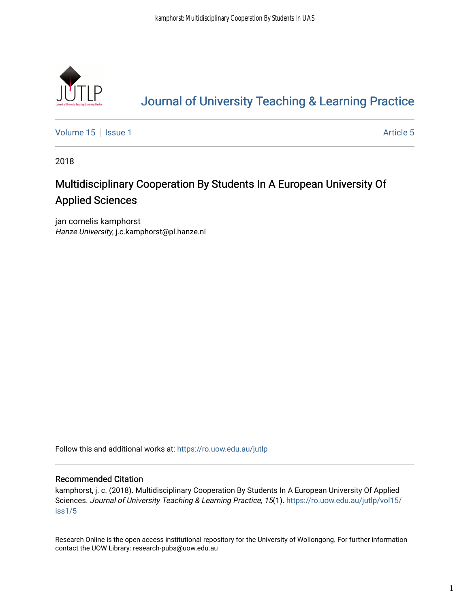

# [Journal of University Teaching & Learning Practice](https://ro.uow.edu.au/jutlp)

[Volume 15](https://ro.uow.edu.au/jutlp/vol15) | [Issue 1](https://ro.uow.edu.au/jutlp/vol15/iss1) Article 5

2018

# Multidisciplinary Cooperation By Students In A European University Of Applied Sciences

jan cornelis kamphorst Hanze University, j.c.kamphorst@pl.hanze.nl

Follow this and additional works at: [https://ro.uow.edu.au/jutlp](https://ro.uow.edu.au/jutlp?utm_source=ro.uow.edu.au%2Fjutlp%2Fvol15%2Fiss1%2F5&utm_medium=PDF&utm_campaign=PDFCoverPages) 

### Recommended Citation

kamphorst, j. c. (2018). Multidisciplinary Cooperation By Students In A European University Of Applied Sciences. Journal of University Teaching & Learning Practice, 15(1). [https://ro.uow.edu.au/jutlp/vol15/](https://ro.uow.edu.au/jutlp/vol15/iss1/5?utm_source=ro.uow.edu.au%2Fjutlp%2Fvol15%2Fiss1%2F5&utm_medium=PDF&utm_campaign=PDFCoverPages) [iss1/5](https://ro.uow.edu.au/jutlp/vol15/iss1/5?utm_source=ro.uow.edu.au%2Fjutlp%2Fvol15%2Fiss1%2F5&utm_medium=PDF&utm_campaign=PDFCoverPages)

Research Online is the open access institutional repository for the University of Wollongong. For further information contact the UOW Library: research-pubs@uow.edu.au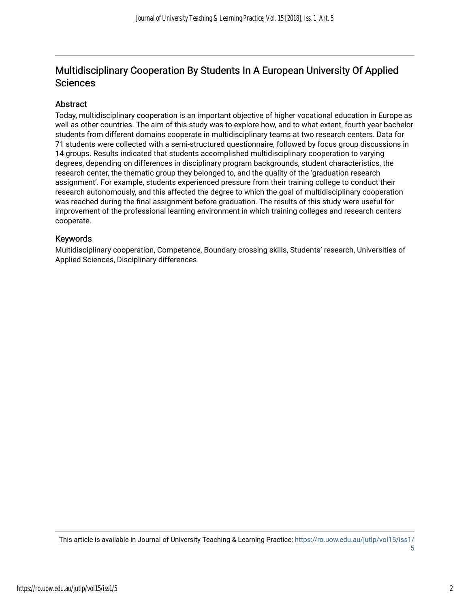## Multidisciplinary Cooperation By Students In A European University Of Applied **Sciences**

## Abstract

Today, multidisciplinary cooperation is an important objective of higher vocational education in Europe as well as other countries. The aim of this study was to explore how, and to what extent, fourth year bachelor students from different domains cooperate in multidisciplinary teams at two research centers. Data for 71 students were collected with a semi-structured questionnaire, followed by focus group discussions in 14 groups. Results indicated that students accomplished multidisciplinary cooperation to varying degrees, depending on differences in disciplinary program backgrounds, student characteristics, the research center, the thematic group they belonged to, and the quality of the 'graduation research assignment'. For example, students experienced pressure from their training college to conduct their research autonomously, and this affected the degree to which the goal of multidisciplinary cooperation was reached during the final assignment before graduation. The results of this study were useful for improvement of the professional learning environment in which training colleges and research centers cooperate.

## Keywords

Multidisciplinary cooperation, Competence, Boundary crossing skills, Students' research, Universities of Applied Sciences, Disciplinary differences

This article is available in Journal of University Teaching & Learning Practice: [https://ro.uow.edu.au/jutlp/vol15/iss1/](https://ro.uow.edu.au/jutlp/vol15/iss1/5) [5](https://ro.uow.edu.au/jutlp/vol15/iss1/5)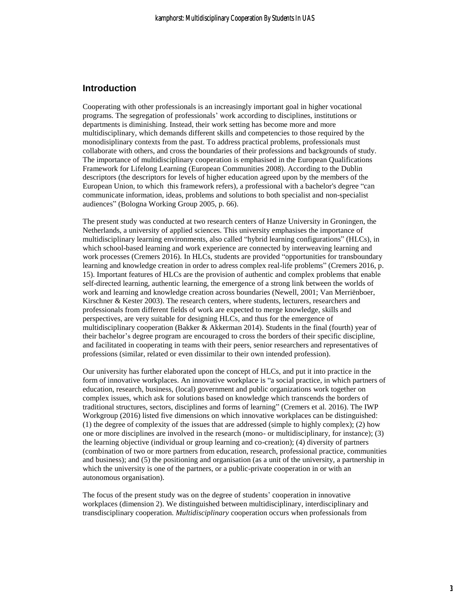#### **Introduction**

Cooperating with other professionals is an increasingly important goal in higher vocational programs. The segregation of professionals' work according to disciplines, institutions or departments is diminishing. Instead, their work setting has become more and more multidisciplinary, which demands different skills and competencies to those required by the monodisiplinary contexts from the past. To address practical problems, professionals must collaborate with others, and cross the boundaries of their professions and backgrounds of study. The importance of multidisciplinary cooperation is emphasised in the European Qualifications Framework for Lifelong Learning (European Communities 2008). According to the Dublin descriptors (the descriptors for levels of higher education agreed upon by the members of the European Union, to which this framework refers), a professional with a bachelor's degree "can communicate information, ideas, problems and solutions to both specialist and non-specialist audiences" (Bologna Working Group 2005, p. 66).

The present study was conducted at two research centers of Hanze University in Groningen, the Netherlands, a university of applied sciences. This university emphasises the importance of multidisciplinary learning environments, also called "hybrid learning configurations" (HLCs), in which school-based learning and work experience are connected by interweaving learning and work processes (Cremers 2016). In HLCs, students are provided "opportunities for transboundary learning and knowledge creation in order to adress complex real-life problems" (Cremers 2016, p. 15). Important features of HLCs are the provision of authentic and complex problems that enable self-directed learning, authentic learning, the emergence of a strong link between the worlds of work and learning and knowledge creation across boundaries (Newell, 2001; Van Merriënboer, Kirschner & Kester 2003). The research centers, where students, lecturers, researchers and professionals from different fields of work are expected to merge knowledge, skills and perspectives, are very suitable for designing HLCs, and thus for the emergence of multidisciplinary cooperation (Bakker & Akkerman 2014). Students in the final (fourth) year of their bachelor's degree program are encouraged to cross the borders of their specific discipline, and facilitated in cooperating in teams with their peers, senior researchers and representatives of professions (similar, related or even dissimilar to their own intended profession).

Our university has further elaborated upon the concept of HLCs, and put it into practice in the form of innovative workplaces. An innovative workplace is "a social practice, in which partners of education, research, business, (local) government and public organizations work together on complex issues, which ask for solutions based on knowledge which transcends the borders of traditional structures, sectors, disciplines and forms of learning" (Cremers et al. 2016). The IWP Workgroup (2016) listed five dimensions on which innovative workplaces can be distinguished: (1) the degree of complexity of the issues that are addressed (simple to highly complex); (2) how one or more disciplines are involved in the research (mono- or multidisciplinary, for instance); (3) the learning objective (individual or group learning and co-creation); (4) diversity of partners (combination of two or more partners from education, research, professional practice, communities and business); and (5) the positioning and organisation (as a unit of the university, a partnership in which the university is one of the partners, or a public-private cooperation in or with an autonomous organisation).

The focus of the present study was on the degree of students' cooperation in innovative workplaces (dimension 2). We distinguished between multidisciplinary, interdisciplinary and transdisciplinary cooperation. *Multidisciplinary* cooperation occurs when professionals from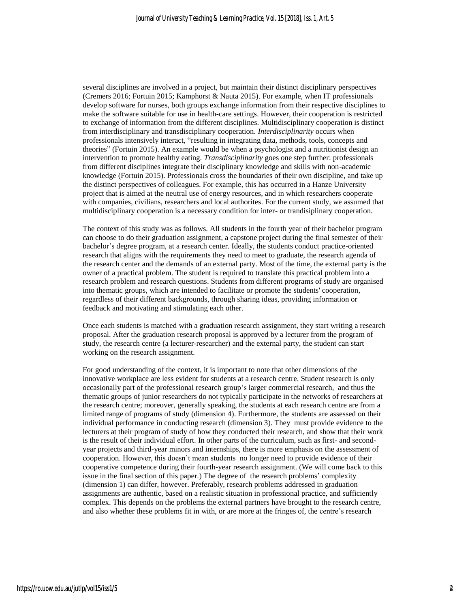several disciplines are involved in a project, but maintain their distinct disciplinary perspectives (Cremers 2016; Fortuin 2015; Kamphorst & Nauta 2015). For example, when IT professionals develop software for nurses, both groups exchange information from their respective disciplines to make the software suitable for use in health-care settings. However, their cooperation is restricted to exchange of information from the different disciplines. Multidisciplinary cooperation is distinct from interdisciplinary and transdisciplinary cooperation. *Interdisciplinarity* occurs when professionals intensively interact, "resulting in integrating data, methods, tools, concepts and theories" (Fortuin 2015). An example would be when a psychologist and a nutritionist design an intervention to promote healthy eating. *Transdisciplinarity* goes one step further: professionals from different disciplines integrate their disciplinary knowledge and skills with non-academic knowledge (Fortuin 2015). Professionals cross the boundaries of their own discipline, and take up the distinct perspectives of colleagues. For example, this has occurred in a Hanze University project that is aimed at the neutral use of energy resources, and in which researchers cooperate with companies, civilians, researchers and local authorites. For the current study, we assumed that multidisciplinary cooperation is a necessary condition for inter- or trandisiplinary cooperation.

The context of this study was as follows. All students in the fourth year of their bachelor program can choose to do their graduation assignment, a capstone project during the final semester of their bachelor's degree program, at a research center. Ideally, the students conduct practice-oriented research that aligns with the requirements they need to meet to graduate, the research agenda of the research center and the demands of an external party. Most of the time, the external party is the owner of a practical problem. The student is required to translate this practical problem into a research problem and research questions. Students from different programs of study are organised into thematic groups, which are intended to facilitate or promote the students' cooperation, regardless of their different backgrounds, through sharing ideas, providing information or feedback and motivating and stimulating each other.

Once each students is matched with a graduation research assignment, they start writing a research proposal. After the graduation research proposal is approved by a lecturer from the program of study, the research centre (a lecturer-researcher) and the external party, the student can start working on the research assignment.

For good understanding of the context, it is important to note that other dimensions of the innovative workplace are less evident for students at a research centre. Student research is only occasionally part of the professional research group's larger commercial research, and thus the thematic groups of junior researchers do not typically participate in the networks of researchers at the research centre; moreover, generally speaking, the students at each research centre are from a limited range of programs of study (dimension 4). Furthermore, the students are assessed on their individual performance in conducting research (dimension 3). They must provide evidence to the lecturers at their program of study of how they conducted their research, and show that their work is the result of their individual effort. In other parts of the curriculum, such as first- and secondyear projects and third-year minors and internships, there is more emphasis on the assessment of cooperation. However, this doesn't mean students no longer need to provide evidence of their cooperative competence during their fourth-year research assignment. (We will come back to this issue in the final section of this paper.) The degree of the research problems' complexity (dimension 1) can differ, however. Preferably, research problems addressed in graduation assignments are authentic, based on a realistic situation in professional practice, and sufficiently complex. This depends on the problems the external partners have brought to the research centre, and also whether these problems fit in with, or are more at the fringes of, the centre's research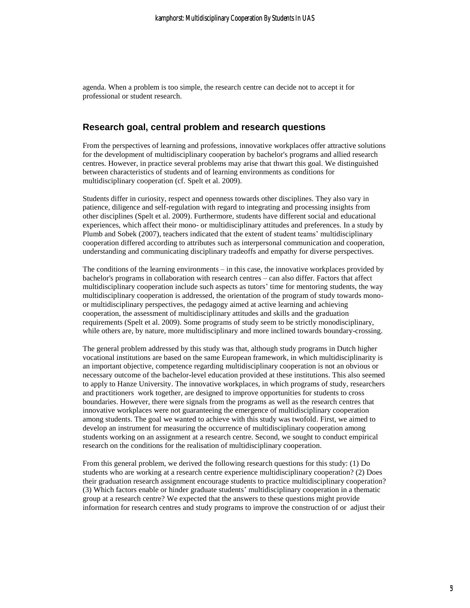agenda. When a problem is too simple, the research centre can decide not to accept it for professional or student research.

### **Research goal, central problem and research questions**

From the perspectives of learning and professions, innovative workplaces offer attractive solutions for the development of multidisciplinary cooperation by bachelor's programs and allied research centres. However, in practice several problems may arise that thwart this goal. We distinguished between characteristics of students and of learning environments as conditions for multidisciplinary cooperation (cf. Spelt et al. 2009).

Students differ in curiosity, respect and openness towards other disciplines. They also vary in patience, diligence and self-regulation with regard to integrating and processing insights from other disciplines (Spelt et al. 2009). Furthermore, students have different social and educational experiences, which affect their mono- or multidisciplinary attitudes and preferences. In a study by Plumb and Sobek (2007), teachers indicated that the extent of student teams' multidisciplinary cooperation differed according to attributes such as interpersonal communication and cooperation, understanding and communicating disciplinary tradeoffs and empathy for diverse perspectives.

The conditions of the learning environments – in this case, the innovative workplaces provided by bachelor's programs in collaboration with research centres – can also differ. Factors that affect multidisciplinary cooperation include such aspects as tutors' time for mentoring students, the way multidisciplinary cooperation is addressed, the orientation of the program of study towards monoor multidisciplinary perspectives, the pedagogy aimed at active learning and achieving cooperation, the assessment of multidisciplinary attitudes and skills and the graduation requirements (Spelt et al. 2009). Some programs of study seem to be strictly monodisciplinary, while others are, by nature, more multidisciplinary and more inclined towards boundary-crossing.

The general problem addressed by this study was that, although study programs in Dutch higher vocational institutions are based on the same European framework, in which multidisciplinarity is an important objective, competence regarding multidisciplinary cooperation is not an obvious or necessary outcome of the bachelor-level education provided at these institutions. This also seemed to apply to Hanze University. The innovative workplaces, in which programs of study, researchers and practitioners work together, are designed to improve opportunities for students to cross boundaries. However, there were signals from the programs as well as the research centres that innovative workplaces were not guaranteeing the emergence of multidisciplinary cooperation among students. The goal we wanted to achieve with this study was twofold. First, we aimed to develop an instrument for measuring the occurrence of multidisciplinary cooperation among students working on an assignment at a research centre. Second, we sought to conduct empirical research on the conditions for the realisation of multidisciplinary cooperation.

From this general problem, we derived the following research questions for this study: (1) Do students who are working at a research centre experience multidisciplinary cooperation? (2) Does their graduation research assignment encourage students to practice multidisciplinary cooperation? (3) Which factors enable or hinder graduate students' multidisciplinary cooperation in a thematic group at a research centre? We expected that the answers to these questions might provide information for research centres and study programs to improve the construction of or adjust their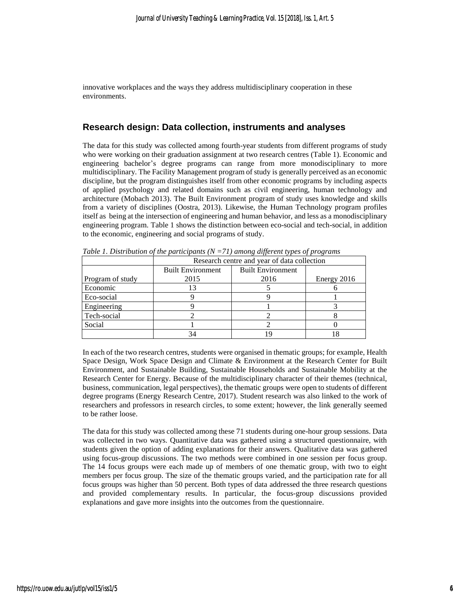innovative workplaces and the ways they address multidisciplinary cooperation in these environments.

### **Research design: Data collection, instruments and analyses**

The data for this study was collected among fourth-year students from different programs of study who were working on their graduation assignment at two research centres (Table 1). Economic and engineering bachelor's degree programs can range from more monodisciplinary to more multidisciplinary. The Facility Management program of study is generally perceived as an economic discipline, but the program distinguishes itself from other economic programs by including aspects of applied psychology and related domains such as civil engineering, human technology and architecture (Mobach 2013). The Built Environment program of study uses knowledge and skills from a variety of disciplines (Oostra, 2013). Likewise, the Human Technology program profiles itself as being at the intersection of engineering and human behavior, and less as a monodisciplinary engineering program. Table 1 shows the distinction between eco-social and tech-social, in addition to the economic, engineering and social programs of study.

|                  | Research centre and year of data collection |                          |             |  |
|------------------|---------------------------------------------|--------------------------|-------------|--|
|                  | <b>Built Environment</b>                    | <b>Built Environment</b> |             |  |
| Program of study | 2015                                        | 2016                     | Energy 2016 |  |
| Economic         |                                             |                          |             |  |
| Eco-social       |                                             |                          |             |  |
| Engineering      |                                             |                          |             |  |
| Tech-social      |                                             |                          |             |  |
| Social           |                                             |                          |             |  |
|                  |                                             |                          |             |  |

*Table 1. Distribution of the participants (N =71) among different types of programs*

In each of the two research centres, students were organised in thematic groups; for example, Health Space Design, Work Space Design and Climate & Environment at the Research Center for Built Environment, and Sustainable Building, Sustainable Households and Sustainable Mobility at the Research Center for Energy. Because of the multidisciplinary character of their themes (technical, business, communication, legal perspectives), the thematic groups were open to students of different degree programs (Energy Research Centre, 2017). Student research was also linked to the work of researchers and professors in research circles, to some extent; however, the link generally seemed to be rather loose.

The data for this study was collected among these 71 students during one-hour group sessions. Data was collected in two ways. Quantitative data was gathered using a structured questionnaire, with students given the option of adding explanations for their answers. Qualitative data was gathered using focus-group discussions. The two methods were combined in one session per focus group. The 14 focus groups were each made up of members of one thematic group, with two to eight members per focus group. The size of the thematic groups varied, and the participation rate for all focus groups was higher than 50 percent. Both types of data addressed the three research questions and provided complementary results. In particular, the focus-group discussions provided explanations and gave more insights into the outcomes from the questionnaire.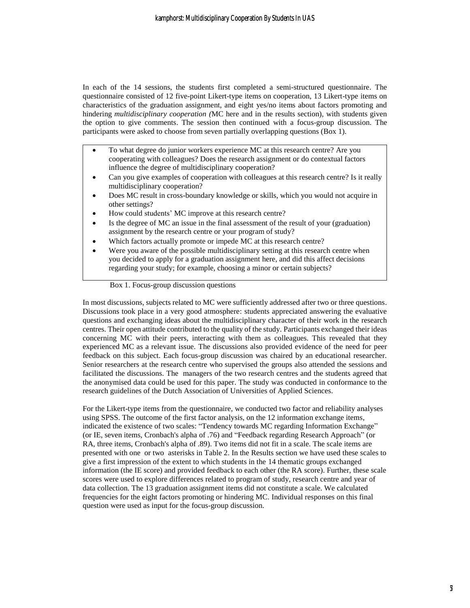In each of the 14 sessions, the students first completed a semi-structured questionnaire. The questionnaire consisted of 12 five-point Likert-type items on cooperation, 13 Likert-type items on characteristics of the graduation assignment, and eight yes/no items about factors promoting and hindering *multidisciplinary cooperation (*MC here and in the results section), with students given the option to give comments. The session then continued with a focus-group discussion. The participants were asked to choose from seven partially overlapping questions (Box 1).

- To what degree do junior workers experience MC at this research centre? Are you cooperating with colleagues? Does the research assignment or do contextual factors influence the degree of multidisciplinary cooperation?
- Can you give examples of cooperation with colleagues at this research centre? Is it really multidisciplinary cooperation?
- Does MC result in cross-boundary knowledge or skills, which you would not acquire in other settings?
- How could students' MC improve at this research centre?
- Is the degree of MC an issue in the final assessment of the result of your (graduation) assignment by the research centre or your program of study?
- Which factors actually promote or impede MC at this research centre?
- Were you aware of the possible multidisciplinary setting at this research centre when you decided to apply for a graduation assignment here, and did this affect decisions regarding your study; for example, choosing a minor or certain subjects?

Box 1. Focus-group discussion questions

In most discussions, subjects related to MC were sufficiently addressed after two or three questions. Discussions took place in a very good atmosphere: students appreciated answering the evaluative questions and exchanging ideas about the multidisciplinary character of their work in the research centres. Their open attitude contributed to the quality of the study. Participants exchanged their ideas concerning MC with their peers, interacting with them as colleagues. This revealed that they experienced MC as a relevant issue. The discussions also provided evidence of the need for peer feedback on this subject. Each focus-group discussion was chaired by an educational researcher. Senior researchers at the research centre who supervised the groups also attended the sessions and facilitated the discussions. The managers of the two research centres and the students agreed that the anonymised data could be used for this paper. The study was conducted in conformance to the research guidelines of the Dutch Association of Universities of Applied Sciences.

For the Likert-type items from the questionnaire, we conducted two factor and reliability analyses using SPSS. The outcome of the first factor analysis, on the 12 information exchange items, indicated the existence of two scales: "Tendency towards MC regarding Information Exchange" (or IE, seven items, Cronbach's alpha of .76) and "Feedback regarding Research Approach" (or RA, three items, Cronbach's alpha of .89). Two items did not fit in a scale. The scale items are presented with one or two asterisks in Table 2. In the Results section we have used these scales to give a first impression of the extent to which students in the 14 thematic groups exchanged information (the IE score) and provided feedback to each other (the RA score). Further, these scale scores were used to explore differences related to program of study, research centre and year of data collection. The 13 graduation assignment items did not constitute a scale. We calculated frequencies for the eight factors promoting or hindering MC. Individual responses on this final question were used as input for the focus-group discussion.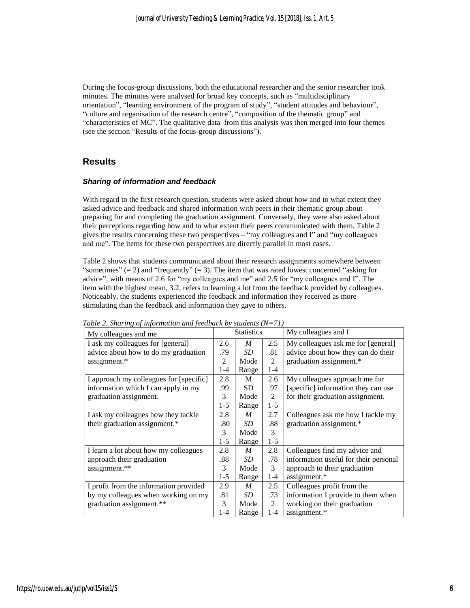During the focus-group discussions, both the educational researcher and the senior researcher took minutes. The minutes were analysed for broad key concepts, such as "multidisciplinary orientation", "learning environment of the program of study", "student attitudes and behaviour", "culture and organisation of the research centre", "composition of the thematic group" and "characteristics of MC". The qualitative data from this analysis was then merged into four themes (see the section "Results of the focus-group discussions").

## **Results**

#### *Sharing of information and feedback*

With regard to the first research question, students were asked about how and to what extent they asked advice and feedback and shared information with peers in their thematic group about preparing for and completing the graduation assignment. Conversely, they were also asked about their perceptions regarding how and to what extent their peers communicated with them. Table 2 gives the results concerning these two perspectives – "my colleagues and I" and "my colleagues and me". The items for these two perspectives are directly parallel in most cases.

Table 2 shows that students communicated about their research assignments somewhere between "sometimes"  $(= 2)$  and "frequently"  $(= 3)$ . The item that was rated lowest concerned "asking for advice", with means of 2.6 for "my colleagues and me" and 2.5 for "my colleagues and I". The item with the highest mean, 3.2, refers to learning a lot from the feedback provided by colleagues. Noticeably, the students experienced the feedback and information they received as more stimulating than the feedback and information they gave to others.

| My colleagues and me                    |       | <b>Statistics</b> |                | My colleagues and I                   |  |
|-----------------------------------------|-------|-------------------|----------------|---------------------------------------|--|
| I ask my colleagues for [general]       |       | M                 | 2.5            | My colleagues ask me for [general]    |  |
| advice about how to do my graduation    |       | SD.               | .81            | advice about how they can do their    |  |
| assignment.*                            | 2     | Mode              | 2              | graduation assignment.*               |  |
|                                         | 1-4   | Range             | $1 - 4$        |                                       |  |
| I approach my colleagues for [specific] | 2.8   | M                 | 2.6            | My colleagues approach me for         |  |
| information which I can apply in my     |       | <b>SD</b>         | .97            | [specific] information they can use   |  |
| graduation assignment.                  | 3     | Mode              | $\mathfrak{D}$ | for their graduation assignment.      |  |
|                                         | $1-5$ | Range             | $1-5$          |                                       |  |
| I ask my colleagues how they tackle     | 2.8   | M                 | 2.7            | Colleagues ask me how I tackle my     |  |
| their graduation assignment.*           | .80   | SD.               | .88            | graduation assignment.*               |  |
|                                         | 3     | Mode              | 3              |                                       |  |
|                                         | $1-5$ | Range             | $1-5$          |                                       |  |
| I learn a lot about how my colleagues   | 2.8   | $\boldsymbol{M}$  | 2.8            | Colleagues find my advice and         |  |
| approach their graduation               | .88   | SD.               | .78            | information useful for their personal |  |
| assignment.**                           | 3     | Mode              | 3              | approach to their graduation          |  |
|                                         | $1-5$ | Range             | $1 - 4$        | assignment.*                          |  |
| I profit from the information provided  | 2.9   | M                 | 2.5            | Colleagues profit from the            |  |
| by my colleagues when working on my     | .81   | SD                | .73            | information I provide to them when    |  |
| graduation assignment.**                | 3     | Mode              | 2              | working on their graduation           |  |
|                                         | $1-4$ | Range             | $1 - 4$        | assignment.*                          |  |

*Table 2. Sharing of information and feedback by students (N=71)*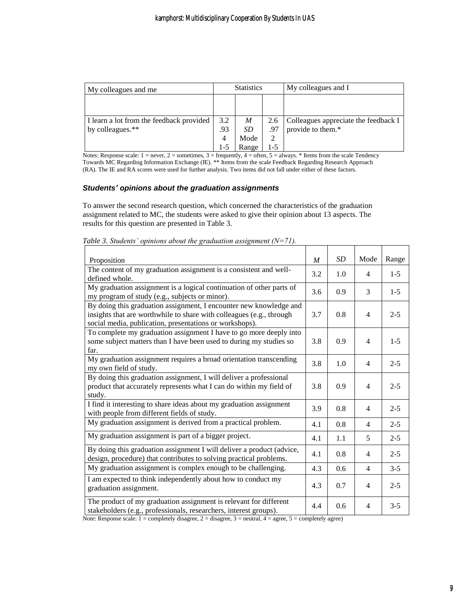| My colleagues and me                     | <b>Statistics</b> |           |     | My colleagues and I                  |  |  |
|------------------------------------------|-------------------|-----------|-----|--------------------------------------|--|--|
|                                          |                   |           |     |                                      |  |  |
|                                          |                   |           |     |                                      |  |  |
| I learn a lot from the feedback provided | 3.2               | M         | 2.6 | Colleagues appreciate the feedback I |  |  |
| by colleagues.**                         | .93               | <i>SD</i> | .97 | provide to them.*                    |  |  |
|                                          | 4                 | Mode      | 2   |                                      |  |  |
|                                          | 1-5               | Range     | 1-5 |                                      |  |  |

Notes: Response scale:  $1 =$  never,  $2 =$  sometimes,  $3 =$  frequently,  $4 =$  often,  $5 =$  always. \* Items from the scale Tendency Towards MC Regarding Information Exchange (IE). \*\* Items from the scale Feedback Regarding Research Approach (RA). The IE and RA scores were used for further analysis. Two items did not fall under either of these factors.

#### *Students' opinions about the graduation assignments*

To answer the second research question, which concerned the characteristics of the graduation assignment related to MC, the students were asked to give their opinion about 13 aspects. The results for this question are presented in Table 3.

| Proposition                                                                                                                                                                                           | $\boldsymbol{M}$ | <b>SD</b> | Mode           | Range   |
|-------------------------------------------------------------------------------------------------------------------------------------------------------------------------------------------------------|------------------|-----------|----------------|---------|
| The content of my graduation assignment is a consistent and well-<br>defined whole.                                                                                                                   | 3.2              | 1.0       | 4              | $1-5$   |
| My graduation assignment is a logical continuation of other parts of<br>my program of study (e.g., subjects or minor).                                                                                | 3.6              | 0.9       | 3              | $1-5$   |
| By doing this graduation assignment, I encounter new knowledge and<br>insights that are worthwhile to share with colleagues (e.g., through<br>social media, publication, presentations or workshops). | 3.7              | 0.8       | $\overline{4}$ | $2 - 5$ |
| To complete my graduation assignment I have to go more deeply into<br>some subject matters than I have been used to during my studies so<br>far.                                                      | 3.8              | 0.9       | $\overline{4}$ | $1-5$   |
| My graduation assignment requires a broad orientation transcending<br>my own field of study.                                                                                                          | 3.8              | 1.0       | $\overline{4}$ | $2 - 5$ |
| By doing this graduation assignment, I will deliver a professional<br>product that accurately represents what I can do within my field of<br>study.                                                   | 3.8              | 0.9       | $\overline{4}$ | $2 - 5$ |
| I find it interesting to share ideas about my graduation assignment<br>with people from different fields of study.                                                                                    | 3.9              | 0.8       | 4              | $2 - 5$ |
| My graduation assignment is derived from a practical problem.                                                                                                                                         | 4.1              | 0.8       | 4              | $2 - 5$ |
| My graduation assignment is part of a bigger project.                                                                                                                                                 | 4.1              | 1.1       | 5              | $2 - 5$ |
| By doing this graduation assignment I will deliver a product (advice,<br>design, procedure) that contributes to solving practical problems.                                                           | 4.1              | 0.8       | $\overline{4}$ | $2 - 5$ |
| My graduation assignment is complex enough to be challenging.                                                                                                                                         | 4.3              | 0.6       | $\overline{4}$ | $3 - 5$ |
| I am expected to think independently about how to conduct my<br>graduation assignment.                                                                                                                | 4.3              | 0.7       | $\overline{4}$ | $2 - 5$ |
| The product of my graduation assignment is relevant for different<br>stakeholders (e.g., professionals, researchers, interest groups).                                                                | 4.4              | 0.6       | $\overline{4}$ | $3 - 5$ |

*Table 3. Students' opinions about the graduation assignment (N=71).*

Note: Response scale:  $1 =$  completely disagree,  $2 =$  disagree,  $3 =$  neutral,  $4 =$  agree,  $5 =$  completely agree)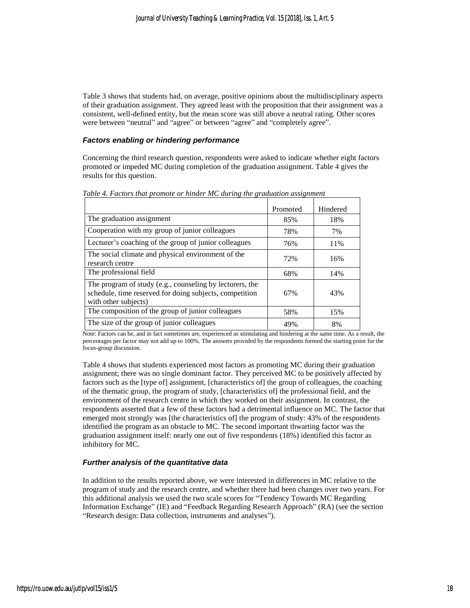Table 3 shows that students had, on average, positive opinions about the multidisciplinary aspects of their graduation assignment. They agreed least with the proposition that their assignment was a consistent, well-defined entity, but the mean score was still above a neutral rating. Other scores were between "neutral" and "agree" or between "agree" and "completely agree".

#### *Factors enabling or hindering performance*

Concerning the third research question, respondents were asked to indicate whether eight factors promoted or impeded MC during completion of the graduation assignment. Table 4 gives the results for this question.

|                                                                                                                                             | Promoted | Hindered |
|---------------------------------------------------------------------------------------------------------------------------------------------|----------|----------|
| The graduation assignment                                                                                                                   | 85%      | 18%      |
| Cooperation with my group of junior colleagues                                                                                              | 78%      | 7%       |
| Lecturer's coaching of the group of junior colleagues                                                                                       | 76%      | 11%      |
| The social climate and physical environment of the<br>research centre                                                                       | 72%      | 16%      |
| The professional field                                                                                                                      | 68%      | 14%      |
| The program of study (e.g., counseling by lecturers, the<br>schedule, time reserved for doing subjects, competition<br>with other subjects) | 67%      | 43%      |
| The composition of the group of junior colleagues                                                                                           | 58%      | 15%      |
| The size of the group of junior colleagues                                                                                                  | 49%      | 8%       |

*Table 4. Factors that promote or hinder MC during the graduation assignment*

Note: Factors can be, and in fact sometimes are, experienced as stimulating and hindering at the same time. As a result, the percentages per factor may not add up to 100%. The answers provided by the respondents formed the starting point for the focus-group discussion.

Table 4 shows that students experienced most factors as promoting MC during their graduation assignment; there was no single dominant factor. They perceived MC to be positively affected by factors such as the [type of] assignment, [characteristics of] the group of colleagues, the coaching of the thematic group, the program of study, [characteristics of] the professional field, and the environment of the research centre in which they worked on their assignment. In contrast, the respondents asserted that a few of these factors had a detrimental influence on MC. The factor that emerged most strongly was [the characteristics of] the program of study: 43% of the respondents identified the program as an obstacle to MC. The second important thwarting factor was the graduation assignment itself: nearly one out of five respondents (18%) identified this factor as inhibitory for MC.

#### *Further analysis of the quantitative data*

In addition to the results reported above, we were interested in differences in MC relative to the program of study and the research centre, and whether there had been changes over two years. For this additional analysis we used the two scale scores for "Tendency Towards MC Regarding Information Exchange" (IE) and "Feedback Regarding Research Approach" (RA) (see the section "Research design: Data collection, instruments and analyses").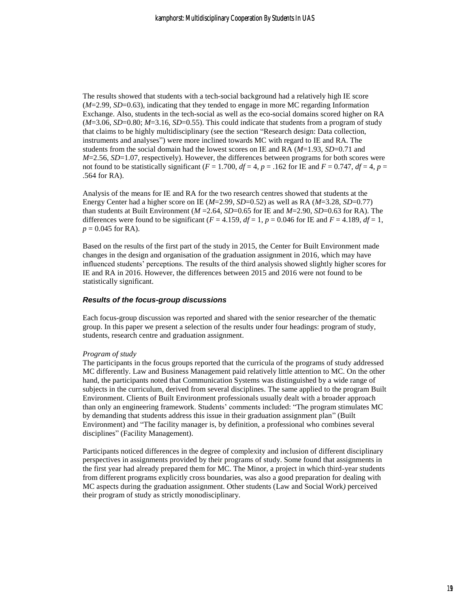The results showed that students with a tech-social background had a relatively high IE score (*M*=2.99, *SD*=0.63), indicating that they tended to engage in more MC regarding Information Exchange. Also, students in the tech-social as well as the eco-social domains scored higher on RA  $(M=3.06, SD=0.80; M=3.16, SD=0.55)$ . This could indicate that students from a program of study that claims to be highly multidisciplinary (see the section "Research design: Data collection, instruments and analyses") were more inclined towards MC with regard to IE and RA. The students from the social domain had the lowest scores on IE and RA (*M*=1.93, *SD*=0.71 and *M*=2.56, *SD*=1.07, respectively). However, the differences between programs for both scores were not found to be statistically significant ( $F = 1.700$ ,  $df = 4$ ,  $p = .162$  for IE and  $F = 0.747$ ,  $df = 4$ ,  $p =$ .564 for RA).

Analysis of the means for IE and RA for the two research centres showed that students at the Energy Center had a higher score on IE (*M*=2.99, *SD*=0.52) as well as RA (*M*=3.28, *SD*=0.77) than students at Built Environment  $(M=2.64, SD=0.65$  for IE and  $M=2.90, SD=0.63$  for RA). The differences were found to be significant  $(F = 4.159, df = 1, p = 0.046$  for IE and  $F = 4.189, df = 1$ ,  $p = 0.045$  for RA).

Based on the results of the first part of the study in 2015, the Center for Built Environment made changes in the design and organisation of the graduation assignment in 2016, which may have influenced students' perceptions. The results of the third analysis showed slightly higher scores for IE and RA in 2016. However, the differences between 2015 and 2016 were not found to be statistically significant.

#### *Results of the focus-group discussions*

Each focus-group discussion was reported and shared with the senior researcher of the thematic group. In this paper we present a selection of the results under four headings: program of study, students, research centre and graduation assignment.

#### *Program of study*

The participants in the focus groups reported that the curricula of the programs of study addressed MC differently. Law and Business Management paid relatively little attention to MC. On the other hand, the participants noted that Communication Systems was distinguished by a wide range of subjects in the curriculum, derived from several disciplines. The same applied to the program Built Environment. Clients of Built Environment professionals usually dealt with a broader approach than only an engineering framework. Students' comments included: "The program stimulates MC by demanding that students address this issue in their graduation assignment plan" (Built Environment) and "The facility manager is, by definition, a professional who combines several disciplines" (Facility Management).

Participants noticed differences in the degree of complexity and inclusion of different disciplinary perspectives in assignments provided by their programs of study. Some found that assignments in the first year had already prepared them for MC. The Minor, a project in which third-year students from different programs explicitly cross boundaries, was also a good preparation for dealing with MC aspects during the graduation assignment. Other students (Law and Social Work*)* perceived their program of study as strictly monodisciplinary.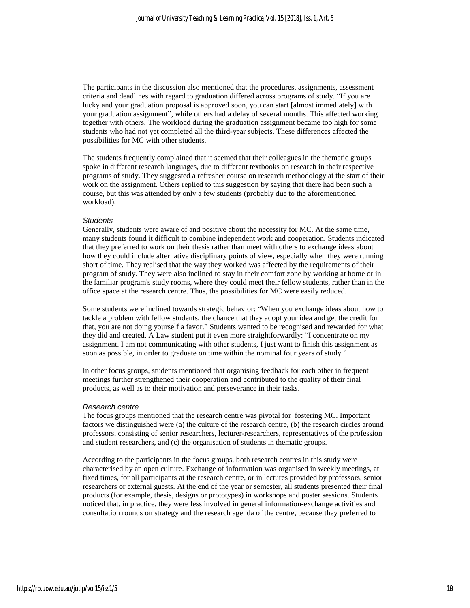The participants in the discussion also mentioned that the procedures, assignments, assessment criteria and deadlines with regard to graduation differed across programs of study. "If you are lucky and your graduation proposal is approved soon, you can start [almost immediately] with your graduation assignment", while others had a delay of several months. This affected working together with others. The workload during the graduation assignment became too high for some students who had not yet completed all the third-year subjects. These differences affected the possibilities for MC with other students.

The students frequently complained that it seemed that their colleagues in the thematic groups spoke in different research languages, due to different textbooks on research in their respective programs of study. They suggested a refresher course on research methodology at the start of their work on the assignment. Others replied to this suggestion by saying that there had been such a course, but this was attended by only a few students (probably due to the aforementioned workload).

#### *Students*

Generally, students were aware of and positive about the necessity for MC. At the same time, many students found it difficult to combine independent work and cooperation. Students indicated that they preferred to work on their thesis rather than meet with others to exchange ideas about how they could include alternative disciplinary points of view, especially when they were running short of time. They realised that the way they worked was affected by the requirements of their program of study. They were also inclined to stay in their comfort zone by working at home or in the familiar program's study rooms, where they could meet their fellow students, rather than in the office space at the research centre. Thus, the possibilities for MC were easily reduced.

Some students were inclined towards strategic behavior: "When you exchange ideas about how to tackle a problem with fellow students, the chance that they adopt your idea and get the credit for that, you are not doing yourself a favor." Students wanted to be recognised and rewarded for what they did and created. A Law student put it even more straightforwardly: "I concentrate on my assignment. I am not communicating with other students, I just want to finish this assignment as soon as possible, in order to graduate on time within the nominal four years of study."

In other focus groups, students mentioned that organising feedback for each other in frequent meetings further strengthened their cooperation and contributed to the quality of their final products, as well as to their motivation and perseverance in their tasks.

#### *Research centre*

The focus groups mentioned that the research centre was pivotal for fostering MC. Important factors we distinguished were (a) the culture of the research centre, (b) the research circles around professors, consisting of senior researchers, lecturer-researchers, representatives of the profession and student researchers, and (c) the organisation of students in thematic groups.

According to the participants in the focus groups, both research centres in this study were characterised by an open culture. Exchange of information was organised in weekly meetings, at fixed times, for all participants at the research centre, or in lectures provided by professors, senior researchers or external guests. At the end of the year or semester, all students presented their final products (for example, thesis, designs or prototypes) in workshops and poster sessions. Students noticed that, in practice, they were less involved in general information-exchange activities and consultation rounds on strategy and the research agenda of the centre, because they preferred to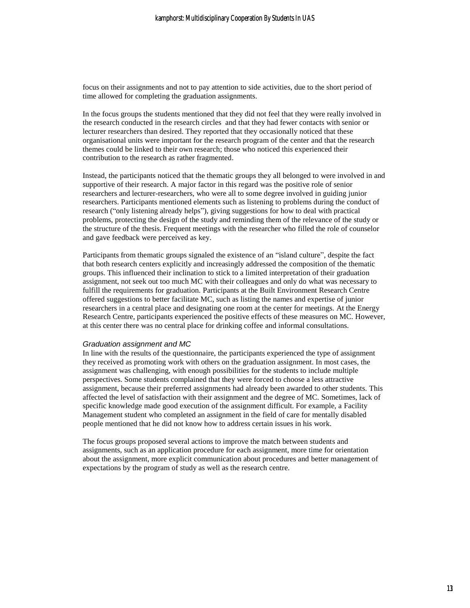focus on their assignments and not to pay attention to side activities, due to the short period of time allowed for completing the graduation assignments.

In the focus groups the students mentioned that they did not feel that they were really involved in the research conducted in the research circles and that they had fewer contacts with senior or lecturer researchers than desired. They reported that they occasionally noticed that these organisational units were important for the research program of the center and that the research themes could be linked to their own research; those who noticed this experienced their contribution to the research as rather fragmented.

Instead, the participants noticed that the thematic groups they all belonged to were involved in and supportive of their research. A major factor in this regard was the positive role of senior researchers and lecturer-researchers, who were all to some degree involved in guiding junior researchers. Participants mentioned elements such as listening to problems during the conduct of research ("only listening already helps"), giving suggestions for how to deal with practical problems, protecting the design of the study and reminding them of the relevance of the study or the structure of the thesis. Frequent meetings with the researcher who filled the role of counselor and gave feedback were perceived as key.

Participants from thematic groups signaled the existence of an "island culture", despite the fact that both research centers explicitly and increasingly addressed the composition of the thematic groups. This influenced their inclination to stick to a limited interpretation of their graduation assignment, not seek out too much MC with their colleagues and only do what was necessary to fulfill the requirements for graduation. Participants at the Built Environment Research Centre offered suggestions to better facilitate MC, such as listing the names and expertise of junior researchers in a central place and designating one room at the center for meetings. At the Energy Research Centre, participants experienced the positive effects of these measures on MC. However, at this center there was no central place for drinking coffee and informal consultations.

#### *Graduation assignment and MC*

In line with the results of the questionnaire, the participants experienced the type of assignment they received as promoting work with others on the graduation assignment. In most cases, the assignment was challenging, with enough possibilities for the students to include multiple perspectives. Some students complained that they were forced to choose a less attractive assignment, because their preferred assignments had already been awarded to other students. This affected the level of satisfaction with their assignment and the degree of MC. Sometimes, lack of specific knowledge made good execution of the assignment difficult. For example, a Facility Management student who completed an assignment in the field of care for mentally disabled people mentioned that he did not know how to address certain issues in his work.

The focus groups proposed several actions to improve the match between students and assignments, such as an application procedure for each assignment, more time for orientation about the assignment, more explicit communication about procedures and better management of expectations by the program of study as well as the research centre.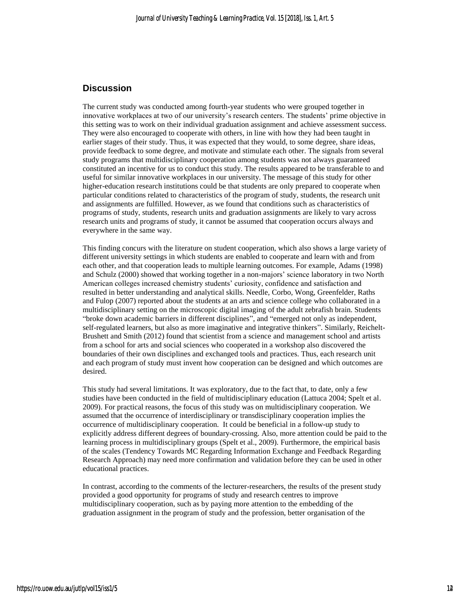## **Discussion**

The current study was conducted among fourth-year students who were grouped together in innovative workplaces at two of our university's research centers. The students' prime objective in this setting was to work on their individual graduation assignment and achieve assessment success. They were also encouraged to cooperate with others, in line with how they had been taught in earlier stages of their study. Thus, it was expected that they would, to some degree, share ideas, provide feedback to some degree, and motivate and stimulate each other. The signals from several study programs that multidisciplinary cooperation among students was not always guaranteed constituted an incentive for us to conduct this study. The results appeared to be transferable to and useful for similar innovative workplaces in our university. The message of this study for other higher-education research institutions could be that students are only prepared to cooperate when particular conditions related to characteristics of the program of study, students, the research unit and assignments are fulfilled. However, as we found that conditions such as characteristics of programs of study, students, research units and graduation assignments are likely to vary across research units and programs of study, it cannot be assumed that cooperation occurs always and everywhere in the same way.

This finding concurs with the literature on student cooperation, which also shows a large variety of different university settings in which students are enabled to cooperate and learn with and from each other, and that cooperation leads to multiple learning outcomes. For example, Adams (1998) and Schulz (2000) showed that working together in a non-majors' science laboratory in two North American colleges increased chemistry students' curiosity, confidence and satisfaction and resulted in better understanding and analytical skills. Needle, Corbo, Wong, Greenfelder, Raths and Fulop (2007) reported about the students at an arts and science college who collaborated in a multidisciplinary setting on the microscopic digital imaging of the adult zebrafish brain. Students "broke down academic barriers in different disciplines", and "emerged not only as independent, self-regulated learners, but also as more imaginative and integrative thinkers". Similarly, Reichelt-Brushett and Smith (2012) found that scientist from a science and management school and artists from a school for arts and social sciences who cooperated in a workshop also discovered the boundaries of their own disciplines and exchanged tools and practices. Thus, each research unit and each program of study must invent how cooperation can be designed and which outcomes are desired.

This study had several limitations. It was exploratory, due to the fact that, to date, only a few studies have been conducted in the field of multidisciplinary education (Lattuca 2004; Spelt et al. 2009). For practical reasons, the focus of this study was on multidisciplinary cooperation. We assumed that the occurrence of interdisciplinary or transdisciplinary cooperation implies the occurrence of multidisciplinary cooperation. It could be beneficial in a follow-up study to explicitly address different degrees of boundary-crossing. Also, more attention could be paid to the learning process in multidisciplinary groups (Spelt et al., 2009). Furthermore, the empirical basis of the scales (Tendency Towards MC Regarding Information Exchange and Feedback Regarding Research Approach) may need more confirmation and validation before they can be used in other educational practices.

In contrast, according to the comments of the lecturer-researchers, the results of the present study provided a good opportunity for programs of study and research centres to improve multidisciplinary cooperation, such as by paying more attention to the embedding of the graduation assignment in the program of study and the profession, better organisation of the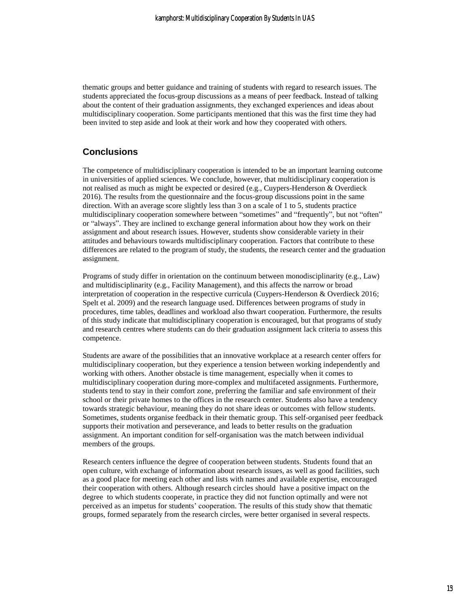thematic groups and better guidance and training of students with regard to research issues. The students appreciated the focus-group discussions as a means of peer feedback. Instead of talking about the content of their graduation assignments, they exchanged experiences and ideas about multidisciplinary cooperation. Some participants mentioned that this was the first time they had been invited to step aside and look at their work and how they cooperated with others.

## **Conclusions**

The competence of multidisciplinary cooperation is intended to be an important learning outcome in universities of applied sciences. We conclude, however, that multidisciplinary cooperation is not realised as much as might be expected or desired (e.g., Cuypers-Henderson & Overdieck 2016). The results from the questionnaire and the focus-group discussions point in the same direction. With an average score slightly less than 3 on a scale of 1 to 5, students practice multidisciplinary cooperation somewhere between "sometimes" and "frequently", but not "often" or "always". They are inclined to exchange general information about how they work on their assignment and about research issues. However, students show considerable variety in their attitudes and behaviours towards multidisciplinary cooperation. Factors that contribute to these differences are related to the program of study, the students, the research center and the graduation assignment.

Programs of study differ in orientation on the continuum between monodisciplinarity (e.g., Law) and multidisciplinarity (e.g., Facility Management), and this affects the narrow or broad interpretation of cooperation in the respective curricula (Cuypers-Henderson & Overdieck 2016; Spelt et al. 2009) and the research language used. Differences between programs of study in procedures, time tables, deadlines and workload also thwart cooperation. Furthermore, the results of this study indicate that multidisciplinary cooperation is encouraged, but that programs of study and research centres where students can do their graduation assignment lack criteria to assess this competence.

Students are aware of the possibilities that an innovative workplace at a research center offers for multidisciplinary cooperation, but they experience a tension between working independently and working with others. Another obstacle is time management, especially when it comes to multidisciplinary cooperation during more-complex and multifaceted assignments. Furthermore, students tend to stay in their comfort zone, preferring the familiar and safe environment of their school or their private homes to the offices in the research center. Students also have a tendency towards strategic behaviour, meaning they do not share ideas or outcomes with fellow students. Sometimes, students organise feedback in their thematic group. This self-organised peer feedback supports their motivation and perseverance, and leads to better results on the graduation assignment. An important condition for self-organisation was the match between individual members of the groups.

Research centers influence the degree of cooperation between students. Students found that an open culture, with exchange of information about research issues, as well as good facilities, such as a good place for meeting each other and lists with names and available expertise, encouraged their cooperation with others. Although research circles should have a positive impact on the degree to which students cooperate, in practice they did not function optimally and were not perceived as an impetus for students' cooperation. The results of this study show that thematic groups, formed separately from the research circles, were better organised in several respects.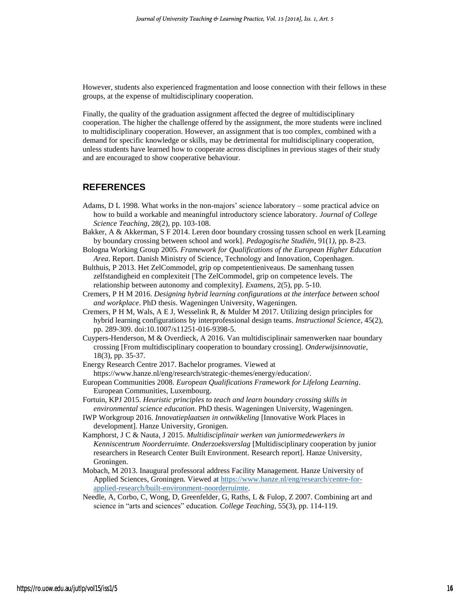However, students also experienced fragmentation and loose connection with their fellows in these groups, at the expense of multidisciplinary cooperation.

Finally, the quality of the graduation assignment affected the degree of multidisciplinary cooperation. The higher the challenge offered by the assignment, the more students were inclined to multidisciplinary cooperation. However, an assignment that is too complex, combined with a demand for specific knowledge or skills, may be detrimental for multidisciplinary cooperation, unless students have learned how to cooperate across disciplines in previous stages of their study and are encouraged to show cooperative behaviour.

#### **REFERENCES**

- Adams, D L 1998. What works in the non-majors' science laboratory some practical advice on how to build a workable and meaningful introductory science laboratory. *Journal of College Science Teaching*, 28(2), pp. 103-108.
- Bakker, A & Akkerman, S F 2014. Leren door boundary crossing tussen school en werk [Learning by boundary crossing between school and work]. *Pedagogische Studiën*, 91(1*)*, pp. 8-23.
- Bologna Working Group 2005. *Framework for Qualifications of the European Higher Education Area*. Report. Danish Ministry of Science, Technology and Innovation, Copenhagen.
- Bulthuis, P 2013. Het ZelCommodel, grip op competentieniveaus. De samenhang tussen zelfstandigheid en complexiteit [The ZelCommodel, grip on competence levels. The relationship between autonomy and complexity]. *Examens*, 2(5), pp. 5-10.
- Cremers, P H M 2016. *Designing hybrid learning configurations at the interface between school and workplace*. PhD thesis. Wageningen University, Wageningen.
- Cremers, P H M, Wals, A E J, Wesselink R, & Mulder M 2017. Utilizing design principles for hybrid learning configurations by interprofessional design teams. *Instructional Science*, 45(2), pp. 289-309. doi:10.1007/s11251-016-9398-5.
- Cuypers-Henderson, M & Overdieck, A 2016. Van multidisciplinair samenwerken naar boundary crossing [From multidisciplinary cooperation to boundary crossing]. *Onderwijsinnovatie*, 18(3), pp. 35-37.
- Energy Research Centre 2017. Bachelor programes. Viewed at https://www.hanze.nl/eng/research/strategic-themes/energy/education/.
- European Communities 2008. *European Qualifications Framework for Lifelong Learning*. European Communities, Luxembourg.
- Fortuin, KPJ 2015. *Heuristic principles to teach and learn boundary crossing skills in environmental science education*. PhD thesis. Wageningen University, Wageningen.
- IWP Workgroup 2016. *Innovatieplaatsen in ontwikkeling* [Innovative Work Places in development]. Hanze University, Gronigen.
- Kamphorst, J C & Nauta, J 2015. *Multidisciplinair werken van juniormedewerkers in Kenniscentrum Noorderruimte. Onderzoeksverslag* [Multidisciplinary cooperation by junior researchers in Research Center Built Environment. Research report]. Hanze University, Groningen.
- Mobach, M 2013. Inaugural professoral address Facility Management. Hanze University of Applied Sciences, Groningen. Viewed at [https://www.hanze.nl/eng/research/centre-for](https://www.hanze.nl/eng/research/centre-for-applied-research/built-environment-noorderruimte)[applied-research/built-environment-noorderruimte.](https://www.hanze.nl/eng/research/centre-for-applied-research/built-environment-noorderruimte)
- Needle, A, Corbo, C, Wong, D, Greenfelder, G, Raths, L & Fulop, Z 2007. Combining art and science in "arts and sciences" education. *College Teaching*, 55(3), pp. 114-119.